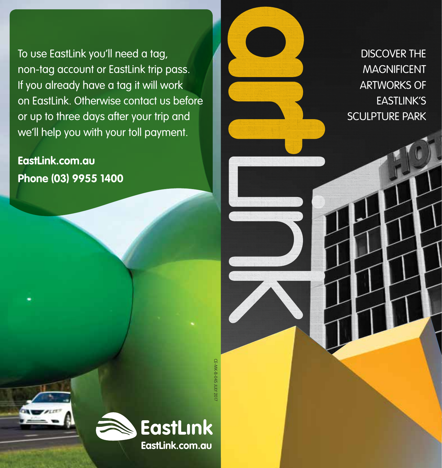To use EastLink you'll need a tag, non-tag account or EastLink trip pass. If you already have a tag it will work on EastLink. Otherwise contact us before or up to three days after your trip and we'll help you with your toll payment.

**EastLink.com.au Phone (03) 9955 1400**

CE-MK-B-045 JULY 2017



DISCOVER THE MAGNIFICENT ARTWORKS OF EASTLINK'S SCULPTURE PARK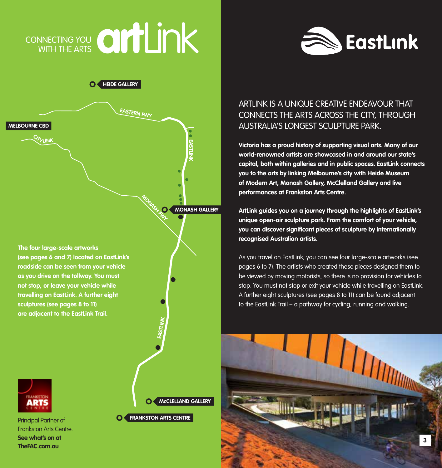# CONNECTING YOU WITH THE ARTS



**O** 





Principal Partner of Frankston Arts Centre. **See what's on at TheFAC.com.au**

**McCLELLAND GALLERY**

**CO FRANKSTON ARTS CENTRE** 

# ARTLINK IS A UNIQUE CREATIVE ENDEAVOUR THAT CONNECTS THE ARTS ACROSS THE CITY, THROUGH AUSTRALIA'S LONGEST SCULPTURE PARK.

**Victoria has a proud history of supporting visual arts. Many of our world-renowned artists are showcased in and around our state's capital, both within galleries and in public spaces. EastLink connects you to the arts by linking Melbourne's city with Heide Museum of Modern Art, Monash Gallery, McClelland Gallery and live performances at Frankston Arts Centre.** 

**ArtLink guides you on a journey through the highlights of EastLink's unique open-air sculpture park. From the comfort of your vehicle, you can discover significant pieces of sculpture by internationally recognised Australian artists.**

As you travel on EastLink, you can see four large-scale artworks (see pages 6 to 7). The artists who created these pieces designed them to be viewed by moving motorists, so there is no provision for vehicles to stop. You must not stop or exit your vehicle while travelling on EastLink. A further eight sculptures (see pages 8 to 11) can be found adjacent to the EastLink Trail – a pathway for cycling, running and walking.

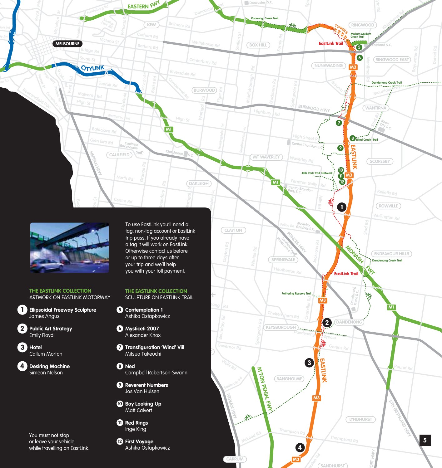

**Doncaster** S.C.

ARTWORK ON EASTLINK MOTORWAY

**Ellipsoidal Freeway Sculpture 1** James Angus

**Williamstown Rd**

**Public Art Strategy 2** Emily Floyd

**Hotel 3** Callum Morton

**Desiring Machine 4** Simeon Nelson

# **THE EASTLINK COLLECTION**

**MOORE COLLECTION** 

- **B Contemplation 1** Ashika Ostapkowicz
- **Mysticeti 2007 6** Alexander Knox
- **Transfiguration 'Wind' Viii 7** Mitsuo Takeuchi

**MORDIALLOC**

- **Ned 8** Campbell Robertson-Swann
- **Reverent Numbers 9** Jos Van Hulsen
- **Boy Looking Up 10 Boy Looking**<br>Matt Calvert
- **Red Rings 11** Inge King

Ashika Ostapkowicz



You must not stop or leave your vehicle while travelling on EastLink.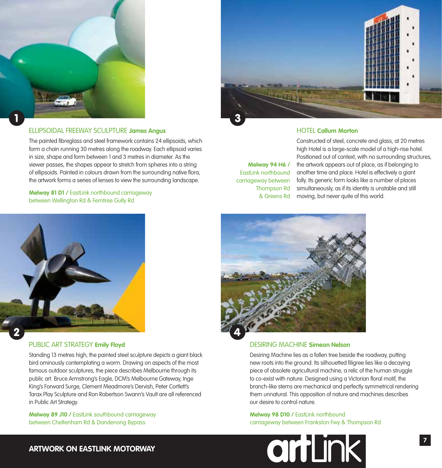



The painted fibreglass and steel framework contains 24 ellipsoids, which form a chain running 30 metres along the roadway. Each ellipsoid varies in size, shape and form between 1 and 3 metres in diameter. As the viewer passes, the shapes appear to stretch from spheres into a string of ellipsoids. Painted in colours drawn from the surrounding native flora, the artwork forms a series of lenses to view the surrounding landscape.

**Melway 81 D1 /** EastLink northbound carriageway between Wellington Rd & Ferntree Gully Rd



## HOTEL **Callum Morton**

**Melway 94 H6 /** EastLink northbound carriageway between Thompson Rd & Greens Rd

Constructed of steel, concrete and glass, at 20 metres high Hotel is a large-scale model of a high-rise hotel. Positioned out of context, with no surrounding structures, the artwork appears out of place, as if belonging to another time and place. Hotel is effectively a giant folly. Its generic form looks like a number of places simultaneously, as if its identity is unstable and still moving, but never quite of this world.



#### PUBLIC ART STRATEGY **Emily Floyd**

Standing 13 metres high, the painted steel sculpture depicts a giant black bird ominously contemplating a worm. Drawing on aspects of the most famous outdoor sculptures, the piece describes Melbourne through its public art. Bruce Armstrong's Eagle, DCM's Melbourne Gateway, Inge King's Forward Surge, Clement Meadmore's Dervish, Peter Cortlett's Tarax Play Sculpture and Ron Robertson Swann's Vault are all referenced in Public Art Strategy.

**Melway 89 J10 /** EastLink southbound carriageway between Cheltenham Rd & Dandenong Bypass



#### DESIRING MACHINE **Simeon Nelson**

Desiring Machine lies as a fallen tree beside the roadway, putting new roots into the ground. Its silhouetted filigree lies like a decaying piece of obsolete agricultural machine, a relic of the human struggle to co-exist with nature. Designed using a Victorian floral motif, the branch-like stems are mechanical and perfectly symmetrical rendering them unnatural. This opposition of nature and machines describes our desire to control nature.

#### **Melway 98 D10 /** EastLink northbound carriageway between Frankston Fwy & Thompson Rd

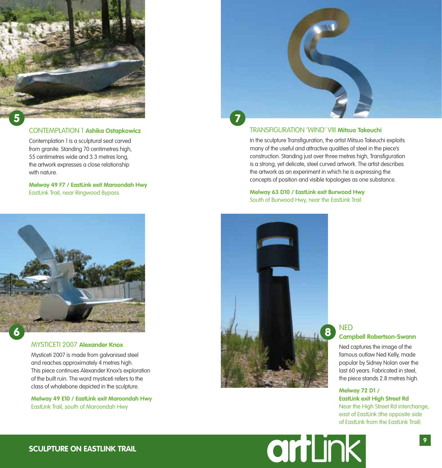

## CONTEMPLATION 1 **Ashika Ostapkowicz**

Contemplation 1 is a sculptural seat carved from granite. Standing 70 centimetres high, 55 centimetres wide and 3.3 metres long, the artwork expresses a close relationship with nature.

**Melway 49 F7 / EastLink exit Maroondah Hwy**  EastLink Trail, near Ringwood Bypass



#### MYSTICETI 2007 **Alexander Knox**

Mysticeti 2007 is made from galvanised steel and reaches approximately 4 metres high. This piece continues Alexander Knox's exploration of the built ruin. The word mysticeti refers to the class of whalebone depicted in the sculpture.

**Melway 49 E10 / EastLink exit Maroondah Hwy**  EastLink Trail, south of Maroondah Hwy



#### TRANSFIGURATION 'WIND' VIII **Mitsuo Takeuchi**

In the sculpture Transfiguration, the artist Mitsuo Takeuchi exploits many of the useful and attractive qualities of steel in the piece's construction. Standing just over three metres high, Transfiguration is a strong, yet delicate, steel curved artwork. The artist describes the artwork as an experiment in which he is expressing the concepts of position and visible topologies as one substance.

**Melway 63 D10 / EastLink exit Burwood Hwy** South of Burwood Hwy, near the EastLink Trail



# **NED Campbell Robertson-Swann**

Ned captures the image of the famous outlaw Ned Kelly, made popular by Sidney Nolan over the last 60 years. Fabricated in steel, the piece stands 2.8 metres high.

## **Melway 72 D1 /**

**EastLink exit High Street Rd** Near the High Street Rd interchange, east of EastLink (the opposite side of EastLink from the EastLink Trail)